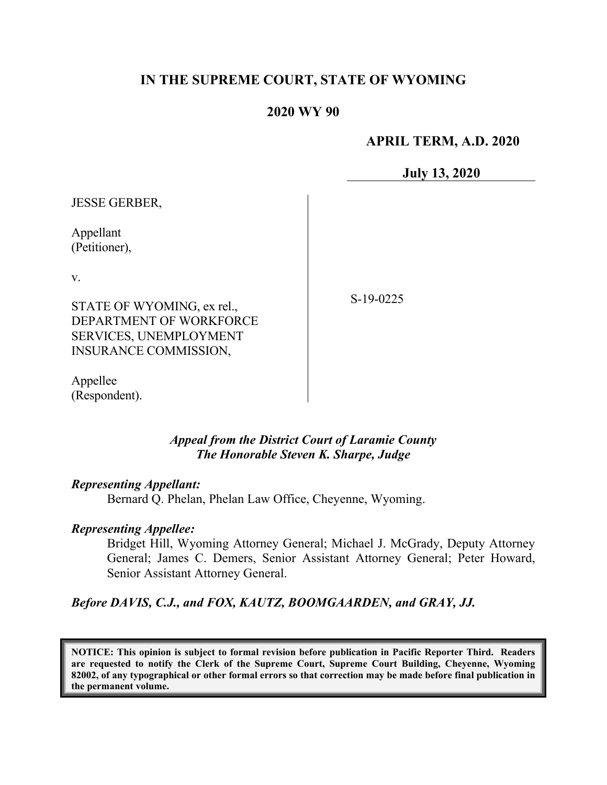# **IN THE SUPREME COURT, STATE OF WYOMING**

# **2020 WY 90**

# **APRIL TERM, A.D. 2020**

**July 13, 2020**

| <b>JESSE GERBER,</b>          |             |
|-------------------------------|-------------|
| Appellant<br>(Petitioner),    |             |
| V.                            |             |
| STATE OF WYOMING, ex rel.,    | $S-19-0225$ |
| DEPARTMENT OF WORKFORCE       |             |
| <b>SERVICES, UNEMPLOYMENT</b> |             |
| INSURANCE COMMISSION,         |             |
|                               |             |

Appellee (Respondent).

# *Appeal from the District Court of Laramie County The Honorable Steven K. Sharpe, Judge*

#### *Representing Appellant:*

Bernard Q. Phelan, Phelan Law Office, Cheyenne, Wyoming.

#### *Representing Appellee:*

Bridget Hill, Wyoming Attorney General; Michael J. McGrady, Deputy Attorney General; James C. Demers, Senior Assistant Attorney General; Peter Howard, Senior Assistant Attorney General.

*Before DAVIS, C.J., and FOX, KAUTZ, BOOMGAARDEN, and GRAY, JJ.*

**NOTICE: This opinion is subject to formal revision before publication in Pacific Reporter Third. Readers are requested to notify the Clerk of the Supreme Court, Supreme Court Building, Cheyenne, Wyoming 82002, of any typographical or other formal errors so that correction may be made before final publication in the permanent volume.**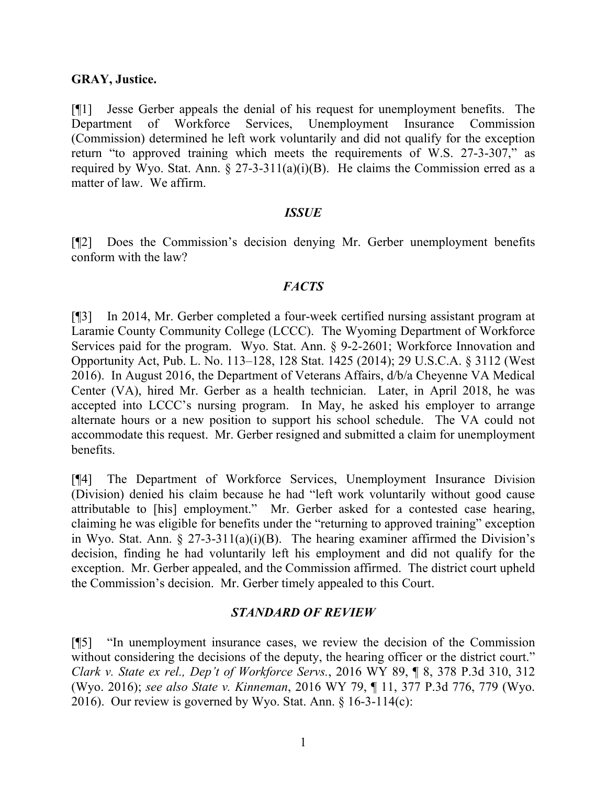### **GRAY, Justice.**

[¶1] Jesse Gerber appeals the denial of his request for unemployment benefits. The Department of Workforce Services, Unemployment Insurance Commission (Commission) determined he left work voluntarily and did not qualify for the exception return "to approved training which meets the requirements of W.S. 27-3-307," as required by Wyo. Stat. Ann.  $\S 27-3-311(a)(i)(B)$ . He claims the Commission erred as a matter of law. We affirm.

### *ISSUE*

[¶2] Does the Commission's decision denying Mr. Gerber unemployment benefits conform with the law?

### *FACTS*

[¶3] In 2014, Mr. Gerber completed a four-week certified nursing assistant program at Laramie County Community College (LCCC). The Wyoming Department of Workforce Services paid for the program. Wyo. Stat. Ann. § 9-2-2601; Workforce Innovation and Opportunity Act, Pub. L. No. 113–128, 128 Stat. 1425 (2014); 29 U.S.C.A. § 3112 (West 2016). In August 2016, the Department of Veterans Affairs, d/b/a Cheyenne VA Medical Center (VA), hired Mr. Gerber as a health technician. Later, in April 2018, he was accepted into LCCC's nursing program. In May, he asked his employer to arrange alternate hours or a new position to support his school schedule. The VA could not accommodate this request. Mr. Gerber resigned and submitted a claim for unemployment benefits.

[¶4] The Department of Workforce Services, Unemployment Insurance Division (Division) denied his claim because he had "left work voluntarily without good cause attributable to [his] employment." Mr. Gerber asked for a contested case hearing, claiming he was eligible for benefits under the "returning to approved training" exception in Wyo. Stat. Ann.  $\S 27-3-311(a)(i)(B)$ . The hearing examiner affirmed the Division's decision, finding he had voluntarily left his employment and did not qualify for the exception. Mr. Gerber appealed, and the Commission affirmed. The district court upheld the Commission's decision. Mr. Gerber timely appealed to this Court.

### *STANDARD OF REVIEW*

[¶5] "In unemployment insurance cases, we review the decision of the Commission without considering the decisions of the deputy, the hearing officer or the district court." *Clark v. State ex rel., Dep't of Workforce Servs.*, 2016 WY 89, ¶ 8, 378 P.3d 310, 312 (Wyo. 2016); *see also State v. Kinneman*, 2016 WY 79, ¶ 11, 377 P.3d 776, 779 (Wyo. 2016). Our review is governed by Wyo. Stat. Ann. § 16-3-114(c):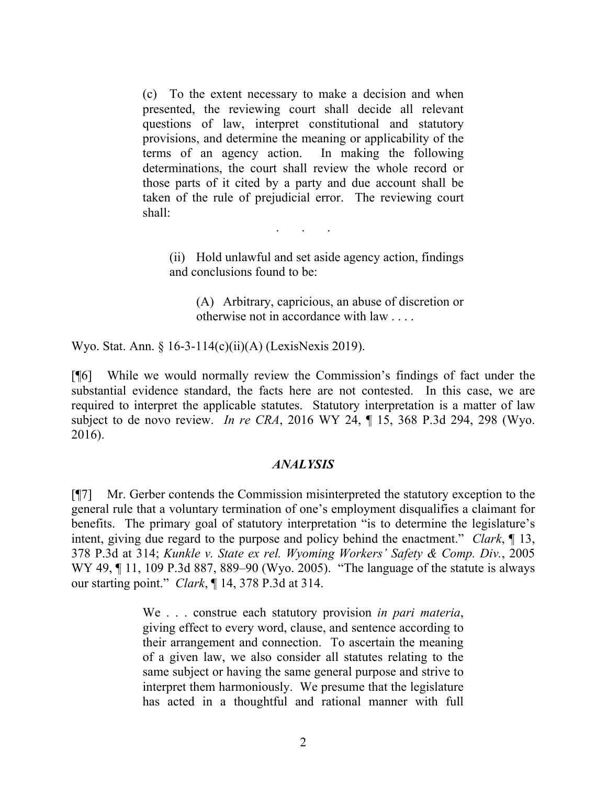(c) To the extent necessary to make a decision and when presented, the reviewing court shall decide all relevant questions of law, interpret constitutional and statutory provisions, and determine the meaning or applicability of the terms of an agency action. In making the following determinations, the court shall review the whole record or those parts of it cited by a party and due account shall be taken of the rule of prejudicial error. The reviewing court shall:

. . .

(ii) Hold unlawful and set aside agency action, findings and conclusions found to be:

(A) Arbitrary, capricious, an abuse of discretion or otherwise not in accordance with law . . . .

Wyo. Stat. Ann. § 16-3-114(c)(ii)(A) (LexisNexis 2019).

[¶6] While we would normally review the Commission's findings of fact under the substantial evidence standard, the facts here are not contested. In this case, we are required to interpret the applicable statutes. Statutory interpretation is a matter of law subject to de novo review. *In re CRA*, 2016 WY 24, ¶ 15, 368 P.3d 294, 298 (Wyo. 2016).

### *ANALYSIS*

[¶7] Mr. Gerber contends the Commission misinterpreted the statutory exception to the general rule that a voluntary termination of one's employment disqualifies a claimant for benefits. The primary goal of statutory interpretation "is to determine the legislature's intent, giving due regard to the purpose and policy behind the enactment." *Clark*, ¶ 13, 378 P.3d at 314; *Kunkle v. State ex rel. Wyoming Workers' Safety & Comp. Div.*, 2005 WY 49, ¶ 11, 109 P.3d 887, 889–90 (Wyo. 2005). "The language of the statute is always our starting point." *Clark*, ¶ 14, 378 P.3d at 314.

> We . . . construe each statutory provision *in pari materia*, giving effect to every word, clause, and sentence according to their arrangement and connection. To ascertain the meaning of a given law, we also consider all statutes relating to the same subject or having the same general purpose and strive to interpret them harmoniously. We presume that the legislature has acted in a thoughtful and rational manner with full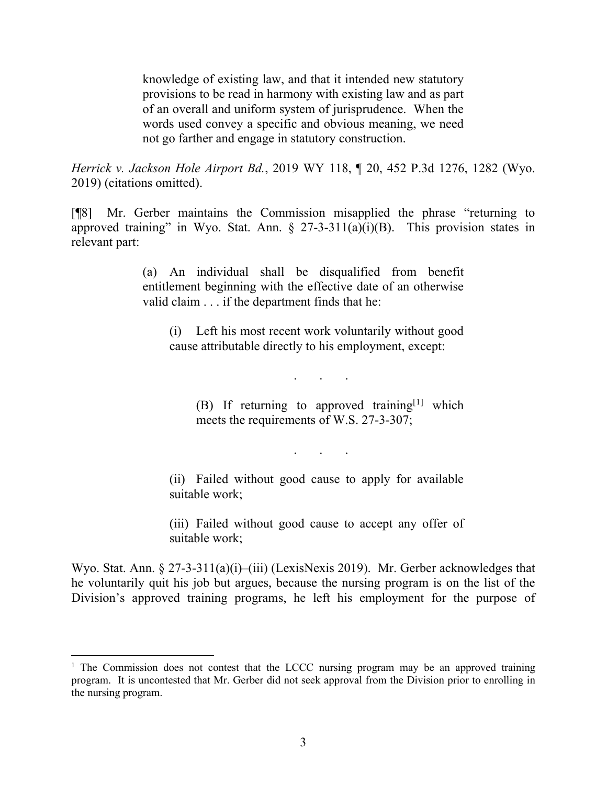knowledge of existing law, and that it intended new statutory provisions to be read in harmony with existing law and as part of an overall and uniform system of jurisprudence. When the words used convey a specific and obvious meaning, we need not go farther and engage in statutory construction.

*Herrick v. Jackson Hole Airport Bd.*, 2019 WY 118, ¶ 20, 452 P.3d 1276, 1282 (Wyo. 2019) (citations omitted).

[¶8] Mr. Gerber maintains the Commission misapplied the phrase "returning to approved training" in Wyo. Stat. Ann.  $\S 27-3-311(a)(i)(B)$ . This provision states in relevant part:

> (a) An individual shall be disqualified from benefit entitlement beginning with the effective date of an otherwise valid claim . . . if the department finds that he:

(i) Left his most recent work voluntarily without good cause attributable directly to his employment, except:

. . .

(B) If returning to approved training[[1](#page-3-0)] which meets the requirements of W.S. 27-3-307;

. . .

(ii) Failed without good cause to apply for available suitable work;

(iii) Failed without good cause to accept any offer of suitable work;

Wyo. Stat. Ann. § 27-3-311(a)(i)–(iii) (LexisNexis 2019). Mr. Gerber acknowledges that he voluntarily quit his job but argues, because the nursing program is on the list of the Division's approved training programs, he left his employment for the purpose of

<span id="page-3-0"></span><sup>&</sup>lt;sup>1</sup> The Commission does not contest that the LCCC nursing program may be an approved training program. It is uncontested that Mr. Gerber did not seek approval from the Division prior to enrolling in the nursing program.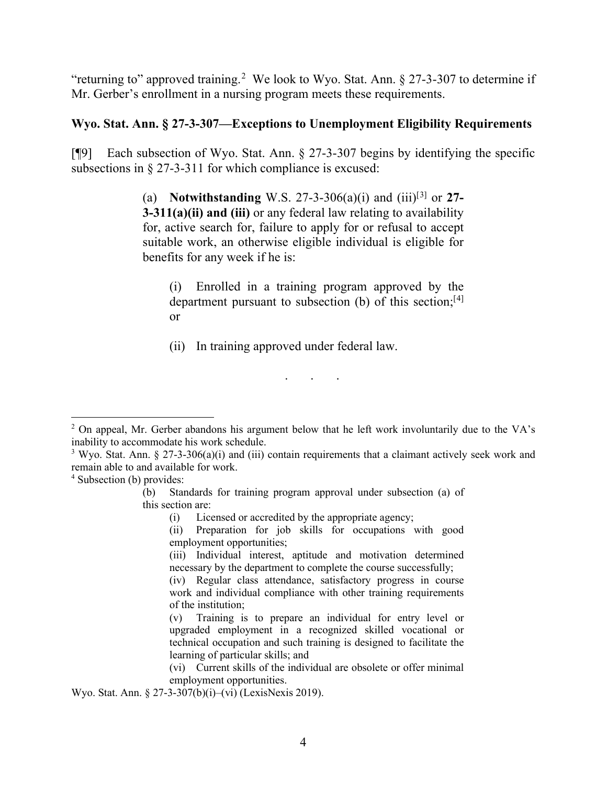"returning to" approved training.<sup>[2](#page-4-0)</sup> We look to Wyo. Stat. Ann. § 27-3-307 to determine if Mr. Gerber's enrollment in a nursing program meets these requirements.

# **Wyo. Stat. Ann. § 27-3-307—Exceptions to Unemployment Eligibility Requirements**

[¶9] Each subsection of Wyo. Stat. Ann. § 27-3-307 begins by identifying the specific subsections in § 27-3-311 for which compliance is excused:

> (a) **Notwithstanding** W.S. 27-3-306(a)(i) and (iii)[[3\]](#page-4-1) or **27- 3-311(a)(ii) and (iii)** or any federal law relating to availability for, active search for, failure to apply for or refusal to accept suitable work, an otherwise eligible individual is eligible for benefits for any week if he is:

(i) Enrolled in a training program approved by the department pursuant to subsection (b) of this section;<sup>[[4](#page-4-2)]</sup> or

(ii) In training approved under federal law.

. . .

<span id="page-4-2"></span><sup>4</sup> Subsection (b) provides:

Wyo. Stat. Ann. § 27-3-307(b)(i)–(vi) (LexisNexis 2019).

<span id="page-4-0"></span><sup>&</sup>lt;sup>2</sup> On appeal, Mr. Gerber abandons his argument below that he left work involuntarily due to the VA's inability to accommodate his work schedule.

<span id="page-4-1"></span><sup>&</sup>lt;sup>3</sup> Wyo. Stat. Ann. § 27-3-306(a)(i) and (iii) contain requirements that a claimant actively seek work and remain able to and available for work.

<sup>(</sup>b) Standards for training program approval under subsection (a) of this section are:

<sup>(</sup>i) Licensed or accredited by the appropriate agency;

<sup>(</sup>ii) Preparation for job skills for occupations with good employment opportunities;

<sup>(</sup>iii) Individual interest, aptitude and motivation determined necessary by the department to complete the course successfully;

<sup>(</sup>iv) Regular class attendance, satisfactory progress in course work and individual compliance with other training requirements of the institution;

<sup>(</sup>v) Training is to prepare an individual for entry level or upgraded employment in a recognized skilled vocational or technical occupation and such training is designed to facilitate the learning of particular skills; and

<sup>(</sup>vi) Current skills of the individual are obsolete or offer minimal employment opportunities.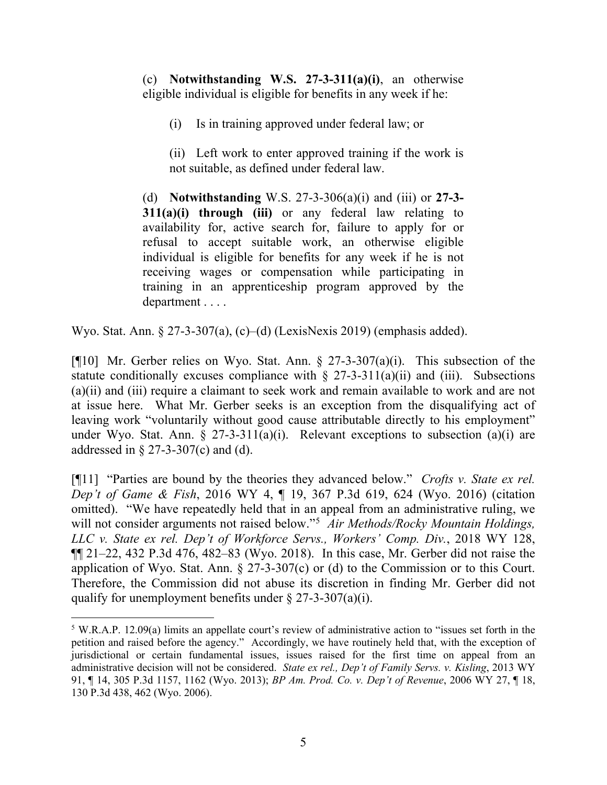(c) **Notwithstanding W.S. 27-3-311(a)(i)**, an otherwise eligible individual is eligible for benefits in any week if he:

(i) Is in training approved under federal law; or

(ii) Left work to enter approved training if the work is not suitable, as defined under federal law.

(d) **Notwithstanding** W.S. 27-3-306(a)(i) and (iii) or **27-3- 311(a)(i) through (iii)** or any federal law relating to availability for, active search for, failure to apply for or refusal to accept suitable work, an otherwise eligible individual is eligible for benefits for any week if he is not receiving wages or compensation while participating in training in an apprenticeship program approved by the department . . . .

Wyo. Stat. Ann. § 27-3-307(a), (c)–(d) (LexisNexis 2019) (emphasis added).

[ $[$ [10] Mr. Gerber relies on Wyo. Stat. Ann. § 27-3-307(a)(i). This subsection of the statute conditionally excuses compliance with  $\S$  27-3-311(a)(ii) and (iii). Subsections (a)(ii) and (iii) require a claimant to seek work and remain available to work and are not at issue here. What Mr. Gerber seeks is an exception from the disqualifying act of leaving work "voluntarily without good cause attributable directly to his employment" under Wyo. Stat. Ann.  $\S 27-3-311(a)(i)$ . Relevant exceptions to subsection  $(a)(i)$  are addressed in  $\S$  27-3-307(c) and (d).

[¶11] "Parties are bound by the theories they advanced below." *Crofts v. State ex rel. Dep't of Game & Fish*, 2016 WY 4, ¶ 19, 367 P.3d 619, 624 (Wyo. 2016) (citation omitted). "We have repeatedly held that in an appeal from an administrative ruling, we will not consider arguments not raised below."[5](#page-5-0) *Air Methods/Rocky Mountain Holdings, LLC v. State ex rel. Dep't of Workforce Servs., Workers' Comp. Div.*, 2018 WY 128,  $\P$ [ $21-22$ , 432 P.3d 476, 482-83 (Wyo. 2018). In this case, Mr. Gerber did not raise the application of Wyo. Stat. Ann.  $\S 27-3-307(c)$  or (d) to the Commission or to this Court. Therefore, the Commission did not abuse its discretion in finding Mr. Gerber did not qualify for unemployment benefits under  $\S 27-3-307(a)(i)$ .

<span id="page-5-0"></span><sup>5</sup> W.R.A.P. 12.09(a) limits an appellate court's review of administrative action to "issues set forth in the petition and raised before the agency." Accordingly, we have routinely held that, with the exception of jurisdictional or certain fundamental issues, issues raised for the first time on appeal from an administrative decision will not be considered. *State ex rel., Dep't of Family Servs. v. Kisling*, 2013 WY 91, ¶ 14, 305 P.3d 1157, 1162 (Wyo. 2013); *BP Am. Prod. Co. v. Dep't of Revenue*, 2006 WY 27, ¶ 18, 130 P.3d 438, 462 (Wyo. 2006).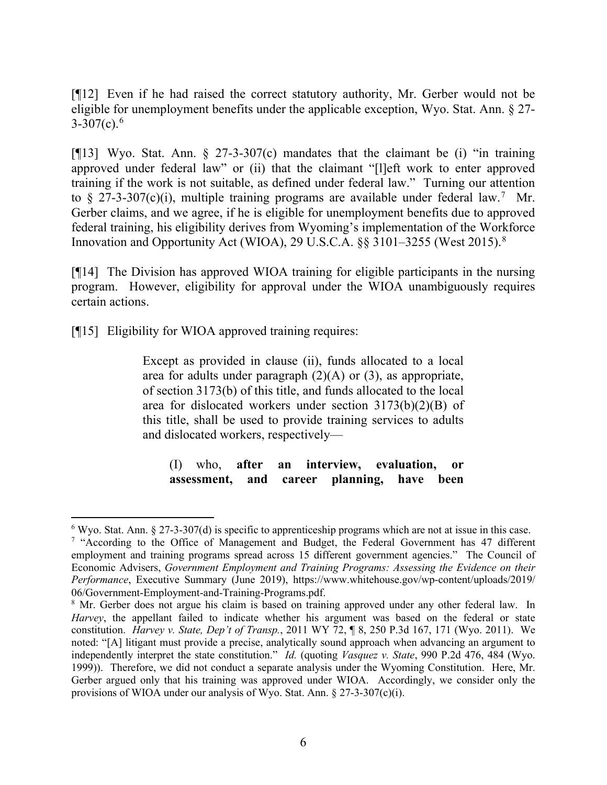[¶12] Even if he had raised the correct statutory authority, Mr. Gerber would not be eligible for unemployment benefits under the applicable exception, Wyo. Stat. Ann. § 27-  $3-307(c).<sup>6</sup>$  $3-307(c).<sup>6</sup>$  $3-307(c).<sup>6</sup>$ 

[ $[13]$ ] Wyo. Stat. Ann. § 27-3-307(c) mandates that the claimant be (i) "in training approved under federal law" or (ii) that the claimant "[l]eft work to enter approved training if the work is not suitable, as defined under federal law." Turning our attention to § 2[7](#page-6-1)-3-307(c)(i), multiple training programs are available under federal law.<sup>7</sup> Mr. Gerber claims, and we agree, if he is eligible for unemployment benefits due to approved federal training, his eligibility derives from Wyoming's implementation of the Workforce Innovation and Opportunity Act (WIOA), 29 U.S.C.A. §§ 3101-3255 (West 2015).<sup>[8](#page-6-2)</sup>

[¶14] The Division has approved WIOA training for eligible participants in the nursing program. However, eligibility for approval under the WIOA unambiguously requires certain actions.

[¶15] Eligibility for WIOA approved training requires:

Except as provided in clause (ii), funds allocated to a local area for adults under paragraph  $(2)(A)$  or  $(3)$ , as appropriate, of section 3173(b) of this title, and funds allocated to the local area for dislocated workers under section 3173(b)(2)(B) of this title, shall be used to provide training services to adults and dislocated workers, respectively—

(I) who, **after an interview, evaluation, or assessment, and career planning, have been**

<span id="page-6-0"></span> $6$  Wyo. Stat. Ann. § 27-3-307(d) is specific to apprenticeship programs which are not at issue in this case.

<span id="page-6-1"></span><sup>7</sup> "According to the Office of Management and Budget, the Federal Government has 47 different employment and training programs spread across 15 different government agencies." The Council of Economic Advisers, *Government Employment and Training Programs: Assessing the Evidence on their Performance*, Executive Summary (June 2019), https://www.whitehouse.gov/wp-content/uploads/2019/ 06/Government-Employment-and-Training-Programs.pdf.

<span id="page-6-2"></span><sup>&</sup>lt;sup>8</sup> Mr. Gerber does not argue his claim is based on training approved under any other federal law. In *Harvey*, the appellant failed to indicate whether his argument was based on the federal or state constitution. *Harvey v. State, Dep't of Transp.*, 2011 WY 72, ¶ 8, 250 P.3d 167, 171 (Wyo. 2011). We noted: "[A] litigant must provide a precise, analytically sound approach when advancing an argument to independently interpret the state constitution." *Id.* (quoting *Vasquez v. State*, 990 P.2d 476, 484 (Wyo. 1999)). Therefore, we did not conduct a separate analysis under the Wyoming Constitution. Here, Mr. Gerber argued only that his training was approved under WIOA. Accordingly, we consider only the provisions of WIOA under our analysis of Wyo. Stat. Ann. § 27-3-307(c)(i).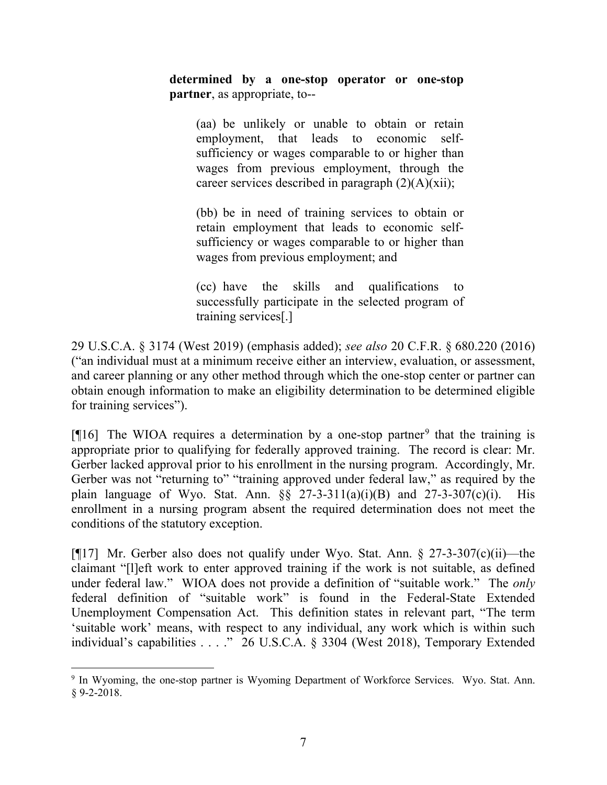**determined by a one-stop operator or one-stop partner**, as appropriate, to--

(aa) be unlikely or unable to obtain or retain employment, that leads to economic selfsufficiency or wages comparable to or higher than wages from previous employment, through the career services described in paragraph  $(2)(A)(xii)$ ;

(bb) be in need of training services to obtain or retain employment that leads to economic selfsufficiency or wages comparable to or higher than wages from previous employment; and

(cc) have the skills and qualifications to successfully participate in the selected program of training services[.]

29 U.S.C.A. § 3174 (West 2019) (emphasis added); *see also* 20 C.F.R. § 680.220 (2016) ("an individual must at a minimum receive either an interview, evaluation, or assessment, and career planning or any other method through which the one-stop center or partner can obtain enough information to make an eligibility determination to be determined eligible for training services").

[ $[16]$ ] The WIOA requires a determination by a one-stop partner<sup>[9](#page-7-0)</sup> that the training is appropriate prior to qualifying for federally approved training. The record is clear: Mr. Gerber lacked approval prior to his enrollment in the nursing program. Accordingly, Mr. Gerber was not "returning to" "training approved under federal law," as required by the plain language of Wyo. Stat. Ann.  $\S$ § 27-3-311(a)(i)(B) and 27-3-307(c)(i). His enrollment in a nursing program absent the required determination does not meet the conditions of the statutory exception.

[ $[17]$  Mr. Gerber also does not qualify under Wyo. Stat. Ann. § 27-3-307(c)(ii)—the claimant "[l]eft work to enter approved training if the work is not suitable, as defined under federal law." WIOA does not provide a definition of "suitable work." The *only* federal definition of "suitable work" is found in the Federal-State Extended Unemployment Compensation Act. This definition states in relevant part, "The term 'suitable work' means, with respect to any individual, any work which is within such individual's capabilities . . . ." 26 U.S.C.A. § 3304 (West 2018), Temporary Extended

<span id="page-7-0"></span><sup>&</sup>lt;sup>9</sup> In Wyoming, the one-stop partner is Wyoming Department of Workforce Services. Wyo. Stat. Ann. § 9-2-2018.